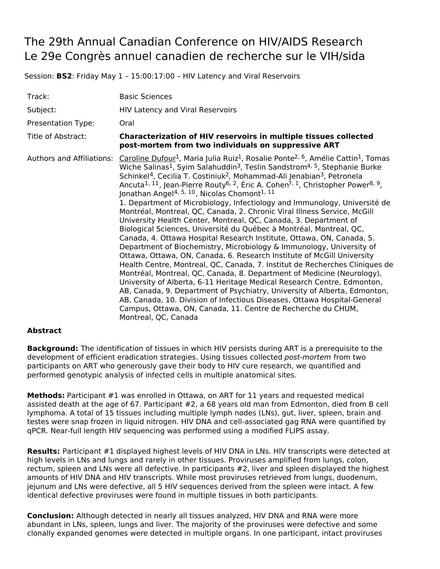## The 29th Annual Canadian Conference on HIV/AIDS Research Le 29e Congrès annuel canadien de recherche sur le VIH/sida

Session: **BS2**: Friday May 1 – 15:00:17:00 – HIV Latency and Viral Reservoirs

| Track:                           | <b>Basic Sciences</b>                                                                                                                                                                                                                                                                                                                                                                                                                                                                                                                                                                                                                                                                                                                                                                                                                                                                                                                                                                                                                                                                                                                                                                                                                                                                                                                                                                                                                                                                                                                                                                               |
|----------------------------------|-----------------------------------------------------------------------------------------------------------------------------------------------------------------------------------------------------------------------------------------------------------------------------------------------------------------------------------------------------------------------------------------------------------------------------------------------------------------------------------------------------------------------------------------------------------------------------------------------------------------------------------------------------------------------------------------------------------------------------------------------------------------------------------------------------------------------------------------------------------------------------------------------------------------------------------------------------------------------------------------------------------------------------------------------------------------------------------------------------------------------------------------------------------------------------------------------------------------------------------------------------------------------------------------------------------------------------------------------------------------------------------------------------------------------------------------------------------------------------------------------------------------------------------------------------------------------------------------------------|
| Subject:                         | <b>HIV Latency and Viral Reservoirs</b>                                                                                                                                                                                                                                                                                                                                                                                                                                                                                                                                                                                                                                                                                                                                                                                                                                                                                                                                                                                                                                                                                                                                                                                                                                                                                                                                                                                                                                                                                                                                                             |
| Presentation Type:               | Oral                                                                                                                                                                                                                                                                                                                                                                                                                                                                                                                                                                                                                                                                                                                                                                                                                                                                                                                                                                                                                                                                                                                                                                                                                                                                                                                                                                                                                                                                                                                                                                                                |
| Title of Abstract:               | <b>Characterization of HIV reservoirs in multiple tissues collected</b><br>post-mortem from two individuals on suppressive ART                                                                                                                                                                                                                                                                                                                                                                                                                                                                                                                                                                                                                                                                                                                                                                                                                                                                                                                                                                                                                                                                                                                                                                                                                                                                                                                                                                                                                                                                      |
| <b>Authors and Affiliations:</b> | Caroline Dufour <sup>1</sup> , Maria Julia Ruiz <sup>1</sup> , Rosalie Ponte <sup>2, 6</sup> , Amélie Cattin <sup>1</sup> , Tomas<br>Wiche Salinas <sup>1</sup> , Syim Salahuddin <sup>3</sup> , Teslin Sandstrom <sup>4, 5</sup> , Stephanie Burke<br>Schinkel <sup>4</sup> , Cecilia T. Costiniuk <sup>2</sup> , Mohammad-Ali Jenabian <sup>3</sup> , Petronela<br>Ancuta <sup>1, 11</sup> , Jean-Pierre Routy <sup>6, 2</sup> , Éric A. Cohen <sup>7, 1</sup> , Christopher Power <sup>8, 9</sup> ,<br>Jonathan Angel <sup>4, 5, 10</sup> , Nicolas Chomont <sup>1, 11</sup><br>1. Department of Microbiology, Infectiology and Immunology, Université de<br>Montréal, Montreal, QC, Canada, 2. Chronic Viral Illness Service, McGill<br>University Health Center, Montreal, QC, Canada, 3. Department of<br>Biological Sciences, Université du Québec à Montréal, Montreal, QC,<br>Canada, 4. Ottawa Hospital Research Institute, Ottawa, ON, Canada, 5.<br>Department of Biochemistry, Microbiology & Immunology, University of<br>Ottawa, Ottawa, ON, Canada, 6. Research Institute of McGill University<br>Health Centre, Montreal, QC, Canada, 7. Institut de Recherches Cliniques de<br>Montréal, Montreal, QC, Canada, 8. Department of Medicine (Neurology),<br>University of Alberta, 6-11 Heritage Medical Research Centre, Edmonton,<br>AB, Canada, 9. Department of Psychiatry, University of Alberta, Edmonton,<br>AB, Canada, 10. Division of Infectious Diseases, Ottawa Hospital-General<br>Campus, Ottawa, ON, Canada, 11. Centre de Recherche du CHUM,<br>Montreal, QC, Canada |

## **Abstract**

**Background:** The identification of tissues in which HIV persists during ART is a prerequisite to the development of efficient eradication strategies. Using tissues collected post-mortem from two participants on ART who generously gave their body to HIV cure research, we quantified and performed genotypic analysis of infected cells in multiple anatomical sites.

**Methods:** Participant #1 was enrolled in Ottawa, on ART for 11 years and requested medical assisted death at the age of 67. Participant #2, a 68 years old man from Edmonton, died from B cell lymphoma. A total of 15 tissues including multiple lymph nodes (LNs), gut, liver, spleen, brain and testes were snap frozen in liquid nitrogen. HIV DNA and cell-associated gag RNA were quantified by qPCR. Near-full length HIV sequencing was performed using a modified FLIPS assay.

**Results:** Participant #1 displayed highest levels of HIV DNA in LNs. HIV transcripts were detected at high levels in LNs and lungs and rarely in other tissues. Proviruses amplified from lungs, colon, rectum, spleen and LNs were all defective. In participants #2, liver and spleen displayed the highest amounts of HIV DNA and HIV transcripts. While most proviruses retrieved from lungs, duodenum, jejunum and LNs were defective, all 5 HIV sequences derived from the spleen were intact. A few identical defective proviruses were found in multiple tissues in both participants.

**Conclusion:** Although detected in nearly all tissues analyzed, HIV DNA and RNA were more abundant in LNs, spleen, lungs and liver. The majority of the proviruses were defective and some clonally expanded genomes were detected in multiple organs. In one participant, intact proviruses